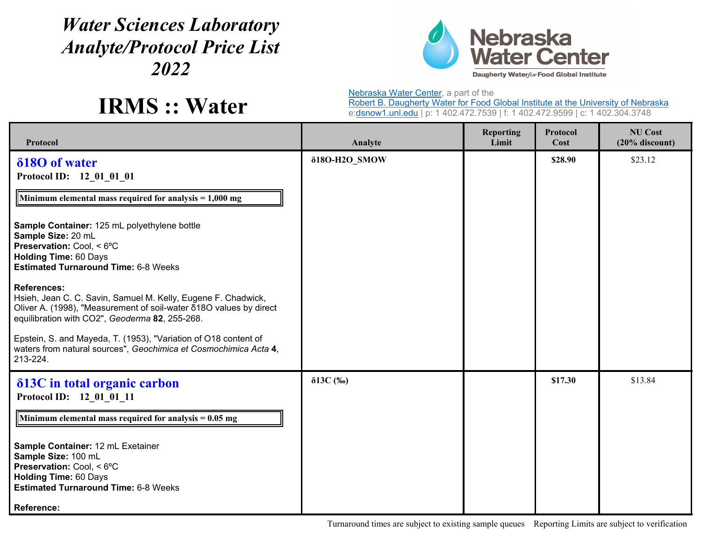## *Water Sciences Laboratory Analyte/Protocol Price List 2022*



**IRMS :: Water**

Nebraska Water Center, a part of the

Robert B. Daugherty Water for Food Global Institute at the University of Nebraska e:<u>dsnow1.unl.edu</u> | p: 1 402.472.7539 | f: 1 402.472.9599 | c: 1 402.304.3748

| Protocol                                                                                                                                                                                                                                                                                                                                                                                                                                                                                                                                                                                                                                                           | Analyte               | <b>Reporting</b><br>Limit | Protocol<br>Cost | <b>NU Cost</b><br>$(20%$ discount) |
|--------------------------------------------------------------------------------------------------------------------------------------------------------------------------------------------------------------------------------------------------------------------------------------------------------------------------------------------------------------------------------------------------------------------------------------------------------------------------------------------------------------------------------------------------------------------------------------------------------------------------------------------------------------------|-----------------------|---------------------------|------------------|------------------------------------|
| $\delta$ 180 of water<br>Protocol ID: 12_01_01_01<br>Minimum elemental mass required for analysis $= 1,000$ mg<br>Sample Container: 125 mL polyethylene bottle<br>Sample Size: 20 mL<br>Preservation: Cool, < 6°C<br><b>Holding Time: 60 Days</b><br><b>Estimated Turnaround Time: 6-8 Weeks</b><br><b>References:</b><br>Hsieh, Jean C. C. Savin, Samuel M. Kelly, Eugene F. Chadwick,<br>Oliver A. (1998), "Measurement of soil-water δ18O values by direct<br>equilibration with CO2", Geoderma 82, 255-268.<br>Epstein, S. and Mayeda, T. (1953), "Variation of O18 content of<br>waters from natural sources", Geochimica et Cosmochimica Acta 4,<br>213-224. | δ18O-H2O_SMOW         |                           | \$28.90          | \$23.12                            |
| δ13C in total organic carbon<br>Protocol ID: 12 01 01 11<br>Minimum elemental mass required for analysis $= 0.05$ mg<br>Sample Container: 12 mL Exetainer<br>Sample Size: 100 mL<br>Preservation: Cool, < 6°C<br><b>Holding Time: 60 Days</b><br><b>Estimated Turnaround Time: 6-8 Weeks</b><br><b>Reference:</b>                                                                                                                                                                                                                                                                                                                                                  | $\delta$ 13C $(\%$ o) |                           | \$17.30          | \$13.84                            |

Turnaround times are subject to existing sample queues Reporting Limits are subject to verification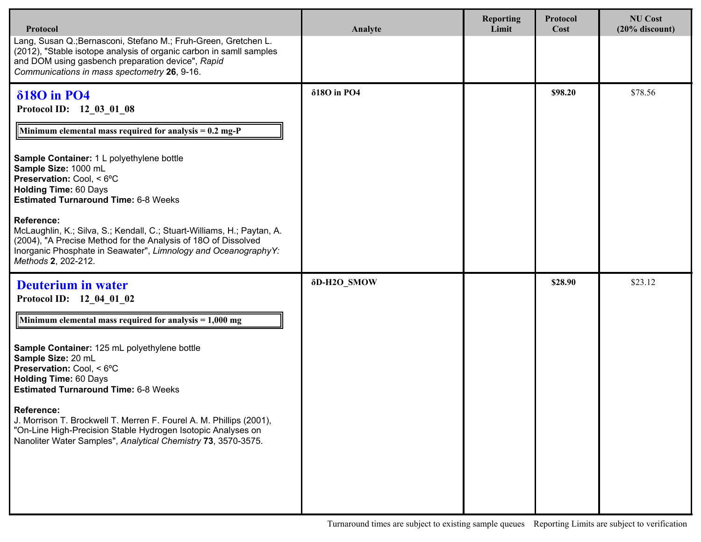| Protocol                                                                                                                                                                                                                                                                                                                                                                                                                                                                                                                                                 | Analyte                  | <b>Reporting</b><br>Limit | Protocol<br>Cost | <b>NU Cost</b><br>$(20%$ discount) |
|----------------------------------------------------------------------------------------------------------------------------------------------------------------------------------------------------------------------------------------------------------------------------------------------------------------------------------------------------------------------------------------------------------------------------------------------------------------------------------------------------------------------------------------------------------|--------------------------|---------------------------|------------------|------------------------------------|
| Lang, Susan Q.; Bernasconi, Stefano M.; Fruh-Green, Gretchen L.<br>(2012), "Stable isotope analysis of organic carbon in samll samples<br>and DOM using gasbench preparation device", Rapid<br>Communications in mass spectometry 26, 9-16.                                                                                                                                                                                                                                                                                                              |                          |                           |                  |                                    |
| $\delta$ 180 in PO4<br>Protocol ID: 12 03 01 08<br>Minimum elemental mass required for analysis $= 0.2$ mg-P<br>Sample Container: 1 L polyethylene bottle<br>Sample Size: 1000 mL<br>Preservation: Cool, < 6°C<br><b>Holding Time: 60 Days</b><br><b>Estimated Turnaround Time: 6-8 Weeks</b><br><b>Reference:</b><br>McLaughlin, K.; Silva, S.; Kendall, C.; Stuart-Williams, H.; Paytan, A.<br>(2004), "A Precise Method for the Analysis of 18O of Dissolved<br>Inorganic Phosphate in Seawater", Limnology and OceanographyY:<br>Methods 2, 202-212. | $\delta$ 180 in PO4      |                           | \$98.20          | \$78.56                            |
| <b>Deuterium in water</b><br>Protocol ID: 12 04 01 02<br>Minimum elemental mass required for analysis $= 1,000$ mg<br>Sample Container: 125 mL polyethylene bottle<br>Sample Size: 20 mL<br>Preservation: Cool, < 6°C<br><b>Holding Time: 60 Days</b><br><b>Estimated Turnaround Time: 6-8 Weeks</b><br>Reference:<br>J. Morrison T. Brockwell T. Merren F. Fourel A. M. Phillips (2001),<br>"On-Line High-Precision Stable Hydrogen Isotopic Analyses on<br>Nanoliter Water Samples", Analytical Chemistry 73, 3570-3575.                               | δD-H <sub>2</sub> O_SMOW |                           | \$28.90          | \$23.12                            |